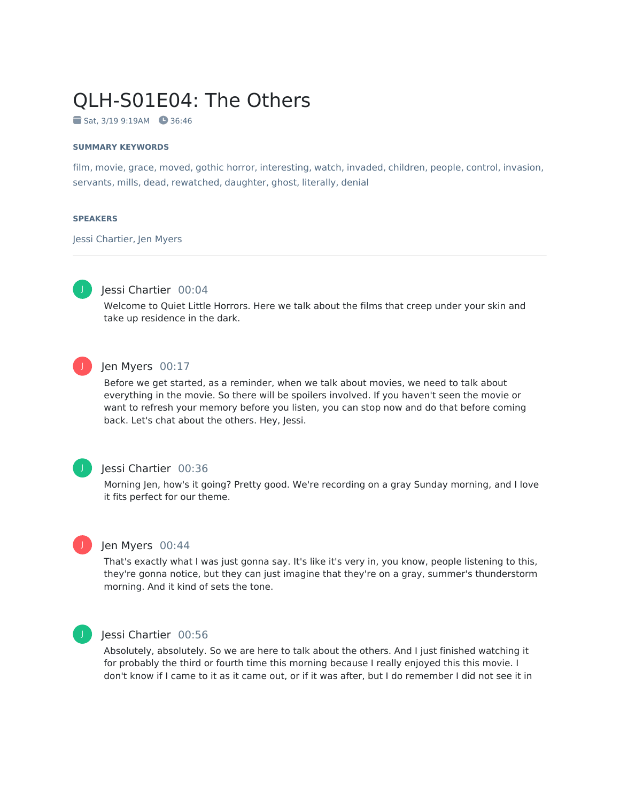# QLH-S01E04: The Others

Sat, 3/19 9:19AM 36:46

#### **SUMMARY KEYWORDS**

film, movie, grace, moved, gothic horror, interesting, watch, invaded, children, people, control, invasion, servants, mills, dead, rewatched, daughter, ghost, literally, denial

#### **SPEAKERS**

Jessi Chartier, Jen Myers



# Jessi Chartier 00:04

Welcome to Quiet Little Horrors. Here we talk about the films that creep under your skin and take up residence in the dark.



### Jen Myers 00:17

Before we get started, as a reminder, when we talk about movies, we need to talk about everything in the movie. So there will be spoilers involved. If you haven't seen the movie or want to refresh your memory before you listen, you can stop now and do that before coming back. Let's chat about the others. Hey, Jessi.

#### Jessi Chartier 00:36

Morning Jen, how's it going? Pretty good. We're recording on a gray Sunday morning, and I love it fits perfect for our theme.



J

#### Jen Myers 00:44

That's exactly what I was just gonna say. It's like it's very in, you know, people listening to this, they're gonna notice, but they can just imagine that they're on a gray, summer's thunderstorm morning. And it kind of sets the tone.



#### Jessi Chartier 00:56

Absolutely, absolutely. So we are here to talk about the others. And I just finished watching it for probably the third or fourth time this morning because I really enjoyed this this movie. I don't know if I came to it as it came out, or if it was after, but I do remember I did not see it in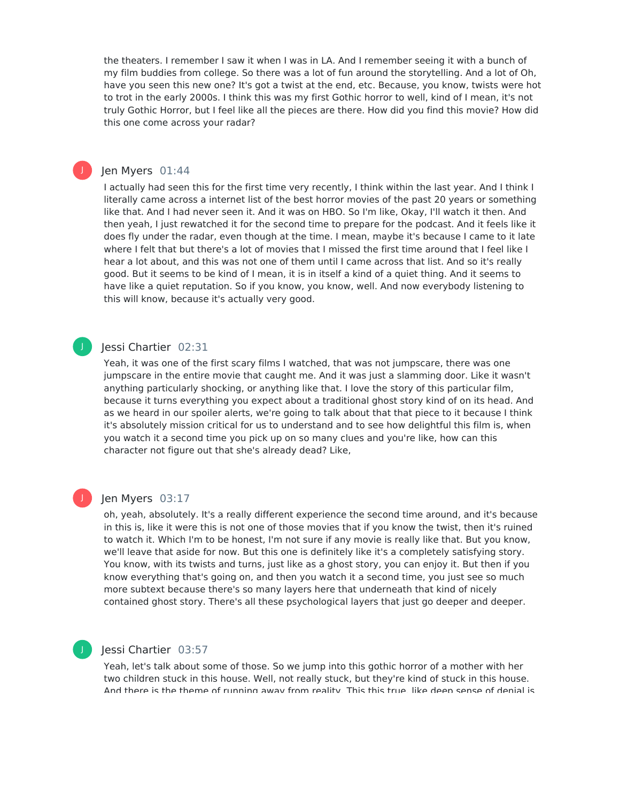the theaters. I remember I saw it when I was in LA. And I remember seeing it with a bunch of my film buddies from college. So there was a lot of fun around the storytelling. And a lot of Oh, have you seen this new one? It's got a twist at the end, etc. Because, you know, twists were hot to trot in the early 2000s. I think this was my first Gothic horror to well, kind of I mean, it's not truly Gothic Horror, but I feel like all the pieces are there. How did you find this movie? How did this one come across your radar?

### Jen Myers 01:44

J

I actually had seen this for the first time very recently, I think within the last year. And I think I literally came across a internet list of the best horror movies of the past 20 years or something like that. And I had never seen it. And it was on HBO. So I'm like, Okay, I'll watch it then. And then yeah, I just rewatched it for the second time to prepare for the podcast. And it feels like it does fly under the radar, even though at the time. I mean, maybe it's because I came to it late where I felt that but there's a lot of movies that I missed the first time around that I feel like I hear a lot about, and this was not one of them until I came across that list. And so it's really good. But it seems to be kind of I mean, it is in itself a kind of a quiet thing. And it seems to have like a quiet reputation. So if you know, you know, well. And now everybody listening to this will know, because it's actually very good.

#### Jessi Chartier 02:31

Yeah, it was one of the first scary films I watched, that was not jumpscare, there was one jumpscare in the entire movie that caught me. And it was just a slamming door. Like it wasn't anything particularly shocking, or anything like that. I love the story of this particular film, because it turns everything you expect about a traditional ghost story kind of on its head. And as we heard in our spoiler alerts, we're going to talk about that that piece to it because I think it's absolutely mission critical for us to understand and to see how delightful this film is, when you watch it a second time you pick up on so many clues and you're like, how can this character not figure out that she's already dead? Like,

# J

J

### Jen Myers 03:17

oh, yeah, absolutely. It's a really different experience the second time around, and it's because in this is, like it were this is not one of those movies that if you know the twist, then it's ruined to watch it. Which I'm to be honest, I'm not sure if any movie is really like that. But you know, we'll leave that aside for now. But this one is definitely like it's a completely satisfying story. You know, with its twists and turns, just like as a ghost story, you can enjoy it. But then if you know everything that's going on, and then you watch it a second time, you just see so much more subtext because there's so many layers here that underneath that kind of nicely contained ghost story. There's all these psychological layers that just go deeper and deeper.

#### Jessi Chartier 03:57

Yeah, let's talk about some of those. So we jump into this gothic horror of a mother with her two children stuck in this house. Well, not really stuck, but they're kind of stuck in this house. And there is the theme of running away from reality. This this true, like deep sense of denial is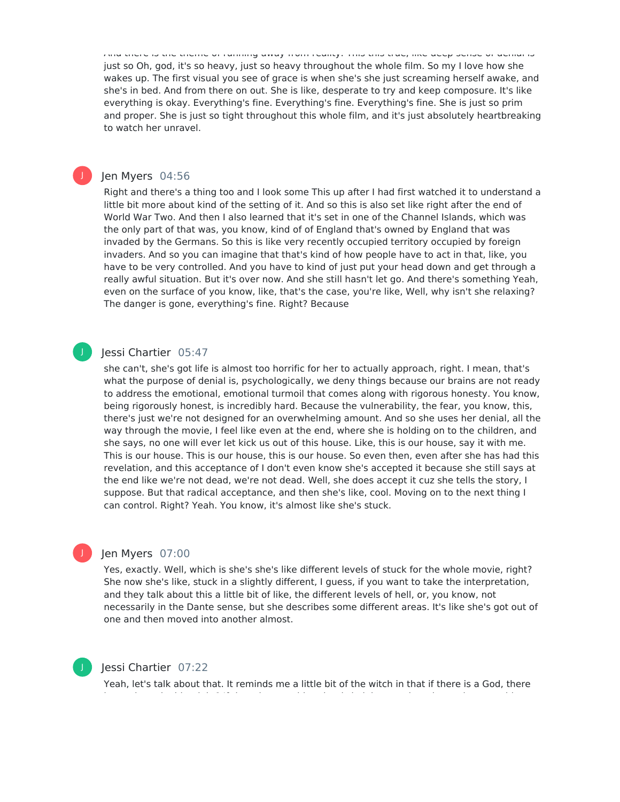And there is the theme of running away from reality. This this true, like deep sense of denial is just so Oh, god, it's so heavy, just so heavy throughout the whole film. So my I love how she wakes up. The first visual you see of grace is when she's she just screaming herself awake, and she's in bed. And from there on out. She is like, desperate to try and keep composure. It's like everything is okay. Everything's fine. Everything's fine. Everything's fine. She is just so prim and proper. She is just so tight throughout this whole film, and it's just absolutely heartbreaking to watch her unravel.

### Jen Myers 04:56

J

J

Right and there's a thing too and I look some This up after I had first watched it to understand a little bit more about kind of the setting of it. And so this is also set like right after the end of World War Two. And then I also learned that it's set in one of the Channel Islands, which was the only part of that was, you know, kind of of England that's owned by England that was invaded by the Germans. So this is like very recently occupied territory occupied by foreign invaders. And so you can imagine that that's kind of how people have to act in that, like, you have to be very controlled. And you have to kind of just put your head down and get through a really awful situation. But it's over now. And she still hasn't let go. And there's something Yeah, even on the surface of you know, like, that's the case, you're like, Well, why isn't she relaxing? The danger is gone, everything's fine. Right? Because

#### Jessi Chartier 05:47

she can't, she's got life is almost too horrific for her to actually approach, right. I mean, that's what the purpose of denial is, psychologically, we deny things because our brains are not ready to address the emotional, emotional turmoil that comes along with rigorous honesty. You know, being rigorously honest, is incredibly hard. Because the vulnerability, the fear, you know, this, there's just we're not designed for an overwhelming amount. And so she uses her denial, all the way through the movie, I feel like even at the end, where she is holding on to the children, and she says, no one will ever let kick us out of this house. Like, this is our house, say it with me. This is our house. This is our house, this is our house. So even then, even after she has had this revelation, and this acceptance of I don't even know she's accepted it because she still says at the end like we're not dead, we're not dead. Well, she does accept it cuz she tells the story, I suppose. But that radical acceptance, and then she's like, cool. Moving on to the next thing I can control. Right? Yeah. You know, it's almost like she's stuck.

#### Jen Myers 07:00

Yes, exactly. Well, which is she's she's like different levels of stuck for the whole movie, right? She now she's like, stuck in a slightly different, I guess, if you want to take the interpretation, and they talk about this a little bit of like, the different levels of hell, or, you know, not necessarily in the Dante sense, but she describes some different areas. It's like she's got out of one and then moved into another almost.



J

# Jessi Chartier 07:22

Yeah, let's talk about that. It reminds me a little bit of the witch in that if there is a God, there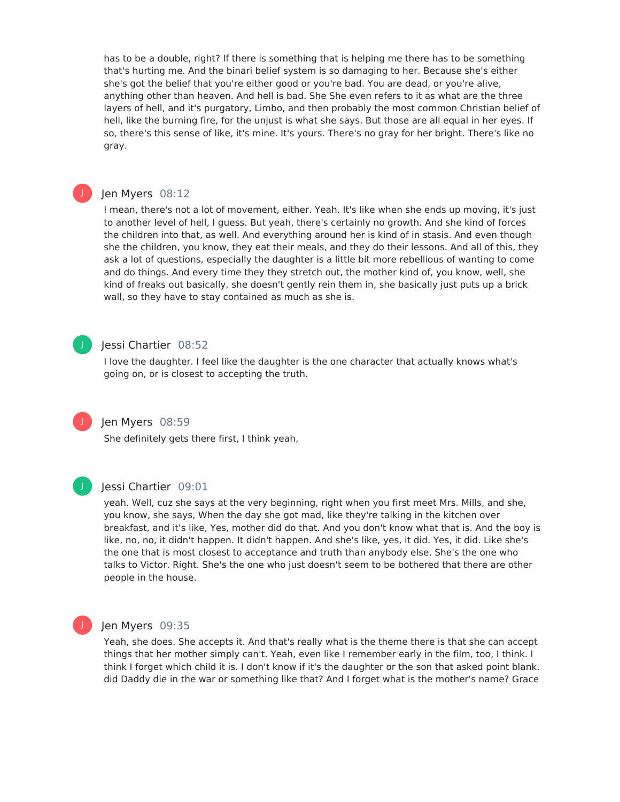has to be a double, right? If there is something that is helping me there has to be something that's hurting me. And the binari belief system is so damaging to her. Because she's either she's got the belief that you're either good or you're bad. You are dead, or you're alive, anything other than heaven. And hell is bad. She She even refers to it as what are the three layers of hell, and it's purgatory, Limbo, and then probably the most common Christian belief of hell, like the burning fire, for the unjust is what she says. But those are all equal in her eyes. If so, there's this sense of like, it's mine. It's yours. There's no gray for her bright. There's like no gray.

# J

# Jen Myers 08:12

I mean, there's not a lot of movement, either. Yeah. It's like when she ends up moving, it's just to another level of hell, I guess. But yeah, there's certainly no growth. And she kind of forces the children into that, as well. And everything around her is kind of in stasis. And even though she the children, you know, they eat their meals, and they do their lessons. And all of this, they ask a lot of questions, especially the daughter is a little bit more rebellious of wanting to come and do things. And every time they they stretch out, the mother kind of, you know, well, she kind of freaks out basically, she doesn't gently rein them in, she basically just puts up a brick wall, so they have to stay contained as much as she is.

# J

# Jessi Chartier 08:52

I love the daughter. I feel like the daughter is the one character that actually knows what's going on, or is closest to accepting the truth.

#### Jen Myers 08:59

She definitely gets there first, I think yeah,



J

#### Jessi Chartier 09:01

yeah. Well, cuz she says at the very beginning, right when you first meet Mrs. Mills, and she, you know, she says, When the day she got mad, like they're talking in the kitchen over breakfast, and it's like, Yes, mother did do that. And you don't know what that is. And the boy is like, no, no, it didn't happen. It didn't happen. And she's like, yes, it did. Yes, it did. Like she's the one that is most closest to acceptance and truth than anybody else. She's the one who talks to Victor. Right. She's the one who just doesn't seem to be bothered that there are other people in the house.



#### Jen Myers 09:35

Yeah, she does. She accepts it. And that's really what is the theme there is that she can accept things that her mother simply can't. Yeah, even like I remember early in the film, too, I think. I think I forget which child it is. I don't know if it's the daughter or the son that asked point blank. did Daddy die in the war or something like that? And I forget what is the mother's name? Grace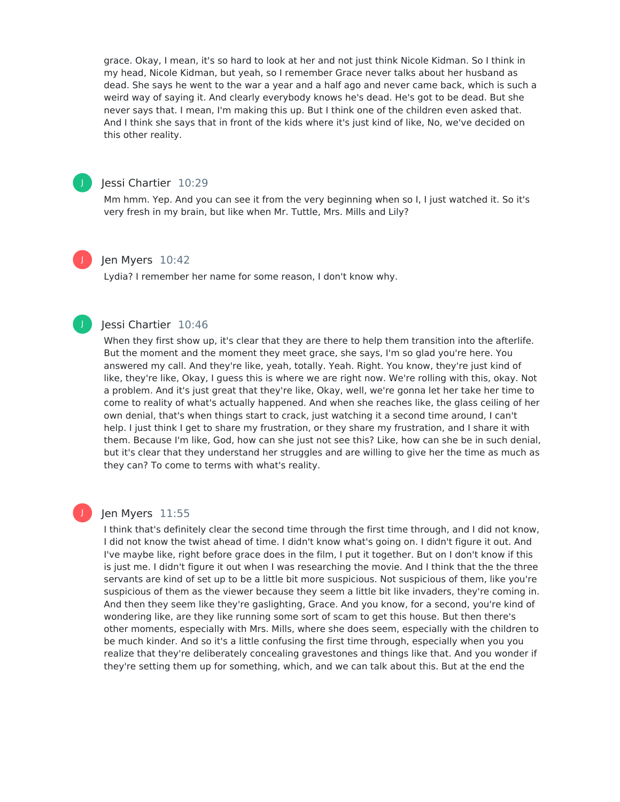grace. Okay, I mean, it's so hard to look at her and not just think Nicole Kidman. So I think in my head, Nicole Kidman, but yeah, so I remember Grace never talks about her husband as dead. She says he went to the war a year and a half ago and never came back, which is such a weird way of saying it. And clearly everybody knows he's dead. He's got to be dead. But she never says that. I mean, I'm making this up. But I think one of the children even asked that. And I think she says that in front of the kids where it's just kind of like, No, we've decided on this other reality.



# Jessi Chartier 10:29

Mm hmm. Yep. And you can see it from the very beginning when so I, I just watched it. So it's very fresh in my brain, but like when Mr. Tuttle, Mrs. Mills and Lily?



#### Jen Myers 10:42

Lydia? I remember her name for some reason, I don't know why.

# J

# Jessi Chartier 10:46

When they first show up, it's clear that they are there to help them transition into the afterlife. But the moment and the moment they meet grace, she says, I'm so glad you're here. You answered my call. And they're like, yeah, totally. Yeah. Right. You know, they're just kind of like, they're like, Okay, I guess this is where we are right now. We're rolling with this, okay. Not a problem. And it's just great that they're like, Okay, well, we're gonna let her take her time to come to reality of what's actually happened. And when she reaches like, the glass ceiling of her own denial, that's when things start to crack, just watching it a second time around, I can't help. I just think I get to share my frustration, or they share my frustration, and I share it with them. Because I'm like, God, how can she just not see this? Like, how can she be in such denial, but it's clear that they understand her struggles and are willing to give her the time as much as they can? To come to terms with what's reality.

#### Jen Myers 11:55

I think that's definitely clear the second time through the first time through, and I did not know, I did not know the twist ahead of time. I didn't know what's going on. I didn't figure it out. And I've maybe like, right before grace does in the film, I put it together. But on I don't know if this is just me. I didn't figure it out when I was researching the movie. And I think that the the three servants are kind of set up to be a little bit more suspicious. Not suspicious of them, like you're suspicious of them as the viewer because they seem a little bit like invaders, they're coming in. And then they seem like they're gaslighting, Grace. And you know, for a second, you're kind of wondering like, are they like running some sort of scam to get this house. But then there's other moments, especially with Mrs. Mills, where she does seem, especially with the children to be much kinder. And so it's a little confusing the first time through, especially when you you realize that they're deliberately concealing gravestones and things like that. And you wonder if they're setting them up for something, which, and we can talk about this. But at the end the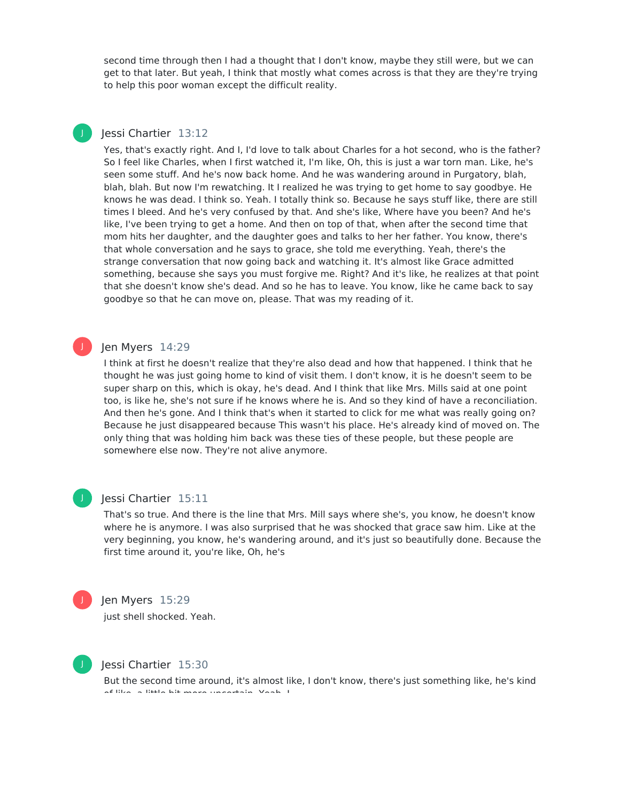second time through then I had a thought that I don't know, maybe they still were, but we can get to that later. But yeah, I think that mostly what comes across is that they are they're trying to help this poor woman except the difficult reality.

# Jessi Chartier 13:12

J

Yes, that's exactly right. And I, I'd love to talk about Charles for a hot second, who is the father? So I feel like Charles, when I first watched it, I'm like, Oh, this is just a war torn man. Like, he's seen some stuff. And he's now back home. And he was wandering around in Purgatory, blah, blah, blah. But now I'm rewatching. It I realized he was trying to get home to say goodbye. He knows he was dead. I think so. Yeah. I totally think so. Because he says stuff like, there are still times I bleed. And he's very confused by that. And she's like, Where have you been? And he's like, I've been trying to get a home. And then on top of that, when after the second time that mom hits her daughter, and the daughter goes and talks to her her father. You know, there's that whole conversation and he says to grace, she told me everything. Yeah, there's the strange conversation that now going back and watching it. It's almost like Grace admitted something, because she says you must forgive me. Right? And it's like, he realizes at that point that she doesn't know she's dead. And so he has to leave. You know, like he came back to say goodbye so that he can move on, please. That was my reading of it.

# Jen Myers 14:29

I think at first he doesn't realize that they're also dead and how that happened. I think that he thought he was just going home to kind of visit them. I don't know, it is he doesn't seem to be super sharp on this, which is okay, he's dead. And I think that like Mrs. Mills said at one point too, is like he, she's not sure if he knows where he is. And so they kind of have a reconciliation. And then he's gone. And I think that's when it started to click for me what was really going on? Because he just disappeared because This wasn't his place. He's already kind of moved on. The only thing that was holding him back was these ties of these people, but these people are somewhere else now. They're not alive anymore.



J

# Jessi Chartier 15:11

That's so true. And there is the line that Mrs. Mill says where she's, you know, he doesn't know where he is anymore. I was also surprised that he was shocked that grace saw him. Like at the very beginning, you know, he's wandering around, and it's just so beautifully done. Because the first time around it, you're like, Oh, he's



#### Jen Myers 15:29

just shell shocked. Yeah.



#### Jessi Chartier 15:30

But the second time around, it's almost like, I don't know, there's just something like, he's kind of like, a little bit more uncertain. Yeah, I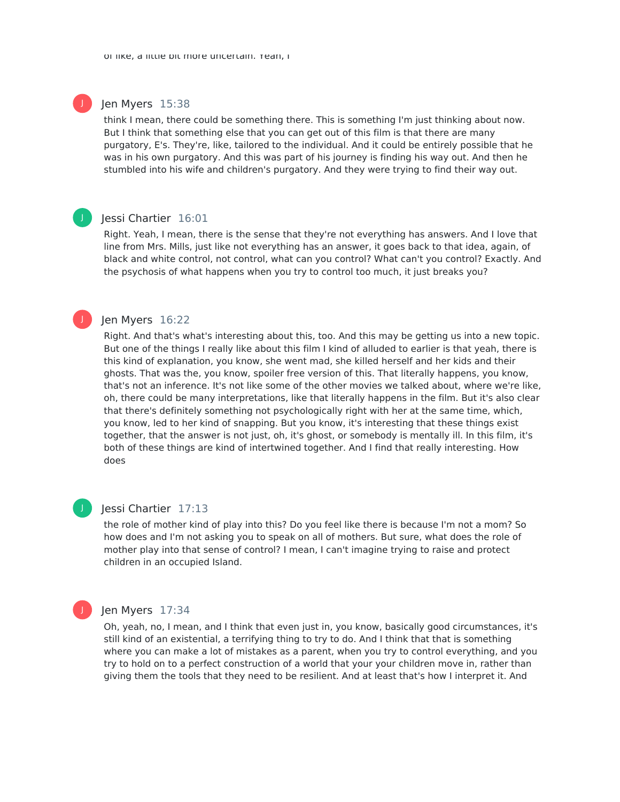#### Jen Myers 15:38

J

J

J

think I mean, there could be something there. This is something I'm just thinking about now. But I think that something else that you can get out of this film is that there are many purgatory, E's. They're, like, tailored to the individual. And it could be entirely possible that he was in his own purgatory. And this was part of his journey is finding his way out. And then he stumbled into his wife and children's purgatory. And they were trying to find their way out.

#### Jessi Chartier 16:01

Right. Yeah, I mean, there is the sense that they're not everything has answers. And I love that line from Mrs. Mills, just like not everything has an answer, it goes back to that idea, again, of black and white control, not control, what can you control? What can't you control? Exactly. And the psychosis of what happens when you try to control too much, it just breaks you?

#### Jen Myers 16:22

Right. And that's what's interesting about this, too. And this may be getting us into a new topic. But one of the things I really like about this film I kind of alluded to earlier is that yeah, there is this kind of explanation, you know, she went mad, she killed herself and her kids and their ghosts. That was the, you know, spoiler free version of this. That literally happens, you know, that's not an inference. It's not like some of the other movies we talked about, where we're like, oh, there could be many interpretations, like that literally happens in the film. But it's also clear that there's definitely something not psychologically right with her at the same time, which, you know, led to her kind of snapping. But you know, it's interesting that these things exist together, that the answer is not just, oh, it's ghost, or somebody is mentally ill. In this film, it's both of these things are kind of intertwined together. And I find that really interesting. How does

# J

# Jessi Chartier 17:13

the role of mother kind of play into this? Do you feel like there is because I'm not a mom? So how does and I'm not asking you to speak on all of mothers. But sure, what does the role of mother play into that sense of control? I mean, I can't imagine trying to raise and protect children in an occupied Island.



#### Jen Myers 17:34

Oh, yeah, no, I mean, and I think that even just in, you know, basically good circumstances, it's still kind of an existential, a terrifying thing to try to do. And I think that that is something where you can make a lot of mistakes as a parent, when you try to control everything, and you try to hold on to a perfect construction of a world that your your children move in, rather than giving them the tools that they need to be resilient. And at least that's how I interpret it. And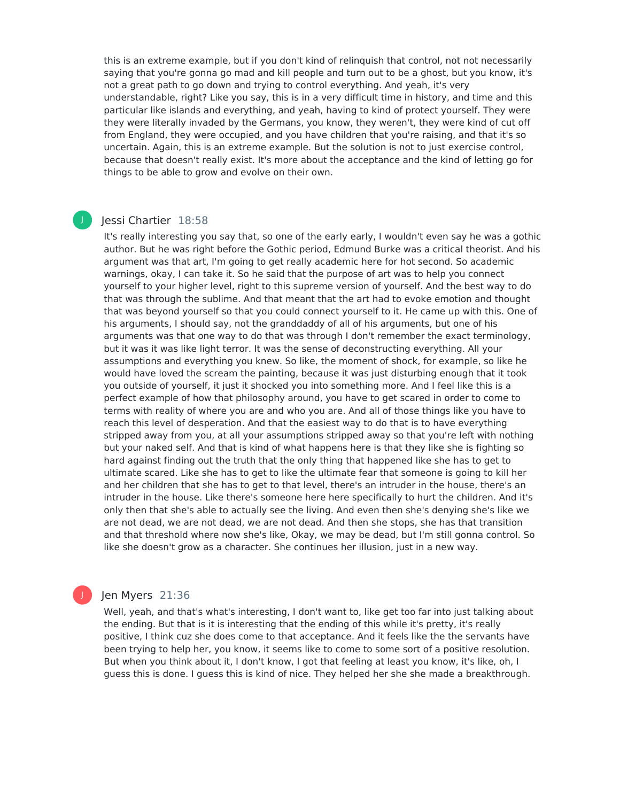this is an extreme example, but if you don't kind of relinquish that control, not not necessarily saying that you're gonna go mad and kill people and turn out to be a ghost, but you know, it's not a great path to go down and trying to control everything. And yeah, it's very understandable, right? Like you say, this is in a very difficult time in history, and time and this particular like islands and everything, and yeah, having to kind of protect yourself. They were they were literally invaded by the Germans, you know, they weren't, they were kind of cut off from England, they were occupied, and you have children that you're raising, and that it's so uncertain. Again, this is an extreme example. But the solution is not to just exercise control, because that doesn't really exist. It's more about the acceptance and the kind of letting go for things to be able to grow and evolve on their own.

### Jessi Chartier 18:58

J

It's really interesting you say that, so one of the early early, I wouldn't even say he was a gothic author. But he was right before the Gothic period, Edmund Burke was a critical theorist. And his argument was that art, I'm going to get really academic here for hot second. So academic warnings, okay, I can take it. So he said that the purpose of art was to help you connect yourself to your higher level, right to this supreme version of yourself. And the best way to do that was through the sublime. And that meant that the art had to evoke emotion and thought that was beyond yourself so that you could connect yourself to it. He came up with this. One of his arguments, I should say, not the granddaddy of all of his arguments, but one of his arguments was that one way to do that was through I don't remember the exact terminology, but it was it was like light terror. It was the sense of deconstructing everything. All your assumptions and everything you knew. So like, the moment of shock, for example, so like he would have loved the scream the painting, because it was just disturbing enough that it took you outside of yourself, it just it shocked you into something more. And I feel like this is a perfect example of how that philosophy around, you have to get scared in order to come to terms with reality of where you are and who you are. And all of those things like you have to reach this level of desperation. And that the easiest way to do that is to have everything stripped away from you, at all your assumptions stripped away so that you're left with nothing but your naked self. And that is kind of what happens here is that they like she is fighting so hard against finding out the truth that the only thing that happened like she has to get to ultimate scared. Like she has to get to like the ultimate fear that someone is going to kill her and her children that she has to get to that level, there's an intruder in the house, there's an intruder in the house. Like there's someone here here specifically to hurt the children. And it's only then that she's able to actually see the living. And even then she's denying she's like we are not dead, we are not dead, we are not dead. And then she stops, she has that transition and that threshold where now she's like, Okay, we may be dead, but I'm still gonna control. So like she doesn't grow as a character. She continues her illusion, just in a new way.

# Jen Myers 21:36

Well, yeah, and that's what's interesting, I don't want to, like get too far into just talking about the ending. But that is it is interesting that the ending of this while it's pretty, it's really positive, I think cuz she does come to that acceptance. And it feels like the the servants have been trying to help her, you know, it seems like to come to some sort of a positive resolution. But when you think about it, I don't know, I got that feeling at least you know, it's like, oh, I guess this is done. I guess this is kind of nice. They helped her she she made a breakthrough.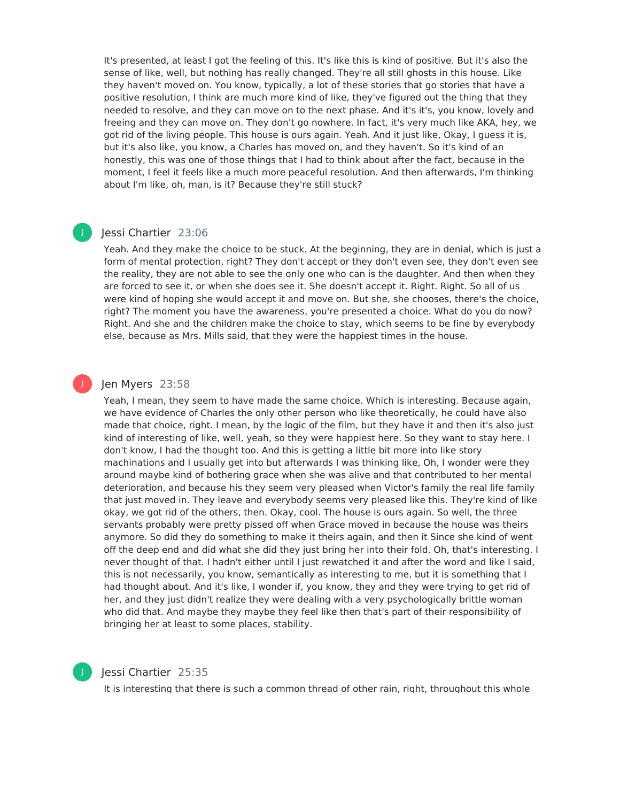It's presented, at least I got the feeling of this. It's like this is kind of positive. But it's also the sense of like, well, but nothing has really changed. They're all still ghosts in this house. Like they haven't moved on. You know, typically, a lot of these stories that go stories that have a positive resolution, I think are much more kind of like, they've figured out the thing that they needed to resolve, and they can move on to the next phase. And it's it's, you know, lovely and freeing and they can move on. They don't go nowhere. In fact, it's very much like AKA, hey, we got rid of the living people. This house is ours again. Yeah. And it just like, Okay, I guess it is, but it's also like, you know, a Charles has moved on, and they haven't. So it's kind of an honestly, this was one of those things that I had to think about after the fact, because in the moment, I feel it feels like a much more peaceful resolution. And then afterwards, I'm thinking about I'm like, oh, man, is it? Because they're still stuck?

# Jessi Chartier 23:06

J

J

Yeah. And they make the choice to be stuck. At the beginning, they are in denial, which is just a form of mental protection, right? They don't accept or they don't even see, they don't even see the reality, they are not able to see the only one who can is the daughter. And then when they are forced to see it, or when she does see it. She doesn't accept it. Right. Right. So all of us were kind of hoping she would accept it and move on. But she, she chooses, there's the choice, right? The moment you have the awareness, you're presented a choice. What do you do now? Right. And she and the children make the choice to stay, which seems to be fine by everybody else, because as Mrs. Mills said, that they were the happiest times in the house.

### Jen Myers 23:58

Yeah, I mean, they seem to have made the same choice. Which is interesting. Because again, we have evidence of Charles the only other person who like theoretically, he could have also made that choice, right. I mean, by the logic of the film, but they have it and then it's also just kind of interesting of like, well, yeah, so they were happiest here. So they want to stay here. I don't know, I had the thought too. And this is getting a little bit more into like story machinations and I usually get into but afterwards I was thinking like, Oh, I wonder were they around maybe kind of bothering grace when she was alive and that contributed to her mental deterioration, and because his they seem very pleased when Victor's family the real life family that just moved in. They leave and everybody seems very pleased like this. They're kind of like okay, we got rid of the others, then. Okay, cool. The house is ours again. So well, the three servants probably were pretty pissed off when Grace moved in because the house was theirs anymore. So did they do something to make it theirs again, and then it Since she kind of went off the deep end and did what she did they just bring her into their fold. Oh, that's interesting. I never thought of that. I hadn't either until I just rewatched it and after the word and like I said, this is not necessarily, you know, semantically as interesting to me, but it is something that I had thought about. And it's like, I wonder if, you know, they and they were trying to get rid of her, and they just didn't realize they were dealing with a very psychologically brittle woman who did that. And maybe they maybe they feel like then that's part of their responsibility of bringing her at least to some places, stability.



### Jessi Chartier 25:35

It is interesting that there is such a common thread of other rain, right, throughout this whole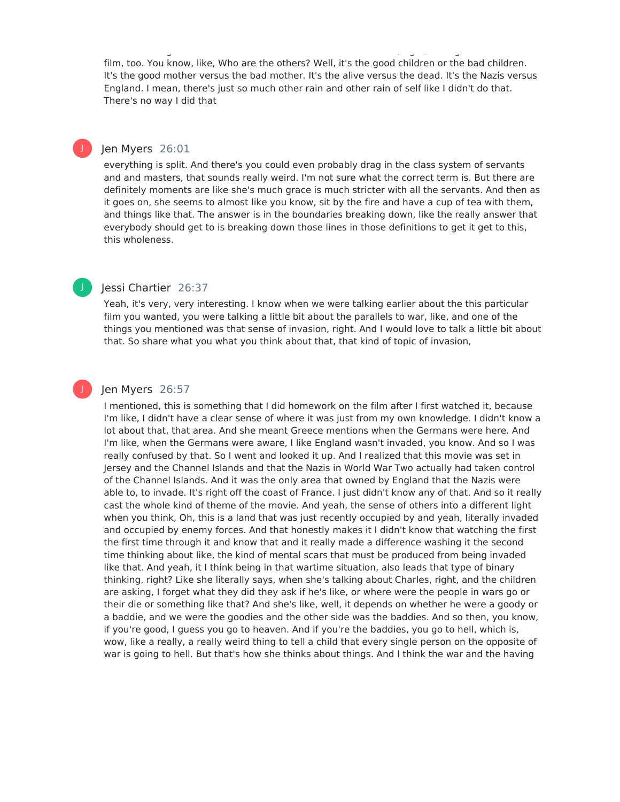film, too. You know, like, Who are the others? Well, it's the good children or the bad children. It's the good mother versus the bad mother. It's the alive versus the dead. It's the Nazis versus England. I mean, there's just so much other rain and other rain of self like I didn't do that. There's no way I did that

It is interesting that there is such a common thread of other rain, right, throughout this whole

# Jen Myers 26:01

J

J

J

everything is split. And there's you could even probably drag in the class system of servants and and masters, that sounds really weird. I'm not sure what the correct term is. But there are definitely moments are like she's much grace is much stricter with all the servants. And then as it goes on, she seems to almost like you know, sit by the fire and have a cup of tea with them, and things like that. The answer is in the boundaries breaking down, like the really answer that everybody should get to is breaking down those lines in those definitions to get it get to this, this wholeness.

### Jessi Chartier 26:37

Yeah, it's very, very interesting. I know when we were talking earlier about the this particular film you wanted, you were talking a little bit about the parallels to war, like, and one of the things you mentioned was that sense of invasion, right. And I would love to talk a little bit about that. So share what you what you think about that, that kind of topic of invasion,

# Jen Myers 26:57

I mentioned, this is something that I did homework on the film after I first watched it, because I'm like, I didn't have a clear sense of where it was just from my own knowledge. I didn't know a lot about that, that area. And she meant Greece mentions when the Germans were here. And I'm like, when the Germans were aware, I like England wasn't invaded, you know. And so I was really confused by that. So I went and looked it up. And I realized that this movie was set in Jersey and the Channel Islands and that the Nazis in World War Two actually had taken control of the Channel Islands. And it was the only area that owned by England that the Nazis were able to, to invade. It's right off the coast of France. I just didn't know any of that. And so it really cast the whole kind of theme of the movie. And yeah, the sense of others into a different light when you think, Oh, this is a land that was just recently occupied by and yeah, literally invaded and occupied by enemy forces. And that honestly makes it I didn't know that watching the first the first time through it and know that and it really made a difference washing it the second time thinking about like, the kind of mental scars that must be produced from being invaded like that. And yeah, it I think being in that wartime situation, also leads that type of binary thinking, right? Like she literally says, when she's talking about Charles, right, and the children are asking, I forget what they did they ask if he's like, or where were the people in wars go or their die or something like that? And she's like, well, it depends on whether he were a goody or a baddie, and we were the goodies and the other side was the baddies. And so then, you know, if you're good, I guess you go to heaven. And if you're the baddies, you go to hell, which is, wow, like a really, a really weird thing to tell a child that every single person on the opposite of war is going to hell. But that's how she thinks about things. And I think the war and the having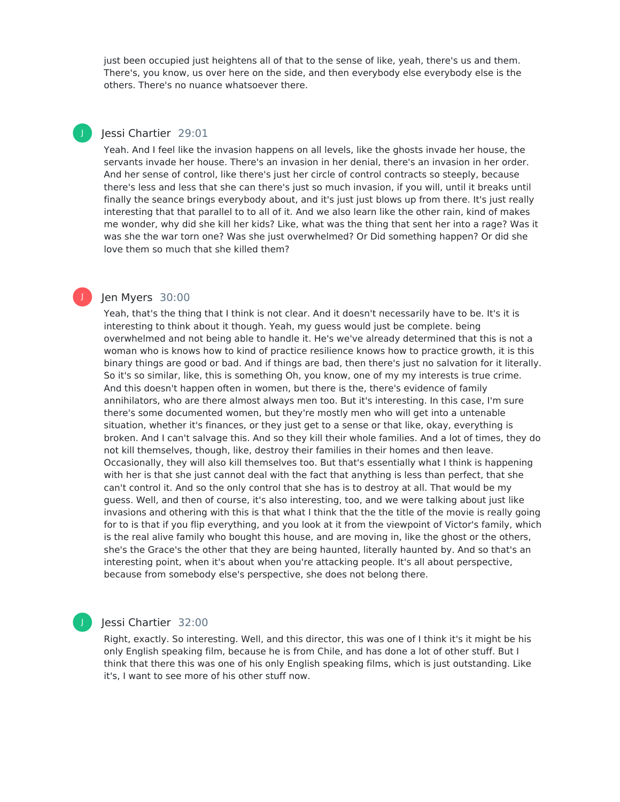just been occupied just heightens all of that to the sense of like, yeah, there's us and them. There's, you know, us over here on the side, and then everybody else everybody else is the others. There's no nuance whatsoever there.

# Jessi Chartier 29:01

J

J

Yeah. And I feel like the invasion happens on all levels, like the ghosts invade her house, the servants invade her house. There's an invasion in her denial, there's an invasion in her order. And her sense of control, like there's just her circle of control contracts so steeply, because there's less and less that she can there's just so much invasion, if you will, until it breaks until finally the seance brings everybody about, and it's just just blows up from there. It's just really interesting that that parallel to to all of it. And we also learn like the other rain, kind of makes me wonder, why did she kill her kids? Like, what was the thing that sent her into a rage? Was it was she the war torn one? Was she just overwhelmed? Or Did something happen? Or did she love them so much that she killed them?

### Jen Myers 30:00

Yeah, that's the thing that I think is not clear. And it doesn't necessarily have to be. It's it is interesting to think about it though. Yeah, my guess would just be complete. being overwhelmed and not being able to handle it. He's we've already determined that this is not a woman who is knows how to kind of practice resilience knows how to practice growth, it is this binary things are good or bad. And if things are bad, then there's just no salvation for it literally. So it's so similar, like, this is something Oh, you know, one of my my interests is true crime. And this doesn't happen often in women, but there is the, there's evidence of family annihilators, who are there almost always men too. But it's interesting. In this case, I'm sure there's some documented women, but they're mostly men who will get into a untenable situation, whether it's finances, or they just get to a sense or that like, okay, everything is broken. And I can't salvage this. And so they kill their whole families. And a lot of times, they do not kill themselves, though, like, destroy their families in their homes and then leave. Occasionally, they will also kill themselves too. But that's essentially what I think is happening with her is that she just cannot deal with the fact that anything is less than perfect, that she can't control it. And so the only control that she has is to destroy at all. That would be my guess. Well, and then of course, it's also interesting, too, and we were talking about just like invasions and othering with this is that what I think that the the title of the movie is really going for to is that if you flip everything, and you look at it from the viewpoint of Victor's family, which is the real alive family who bought this house, and are moving in, like the ghost or the others, she's the Grace's the other that they are being haunted, literally haunted by. And so that's an interesting point, when it's about when you're attacking people. It's all about perspective, because from somebody else's perspective, she does not belong there.

#### Jessi Chartier 32:00

Right, exactly. So interesting. Well, and this director, this was one of I think it's it might be his only English speaking film, because he is from Chile, and has done a lot of other stuff. But I think that there this was one of his only English speaking films, which is just outstanding. Like it's, I want to see more of his other stuff now.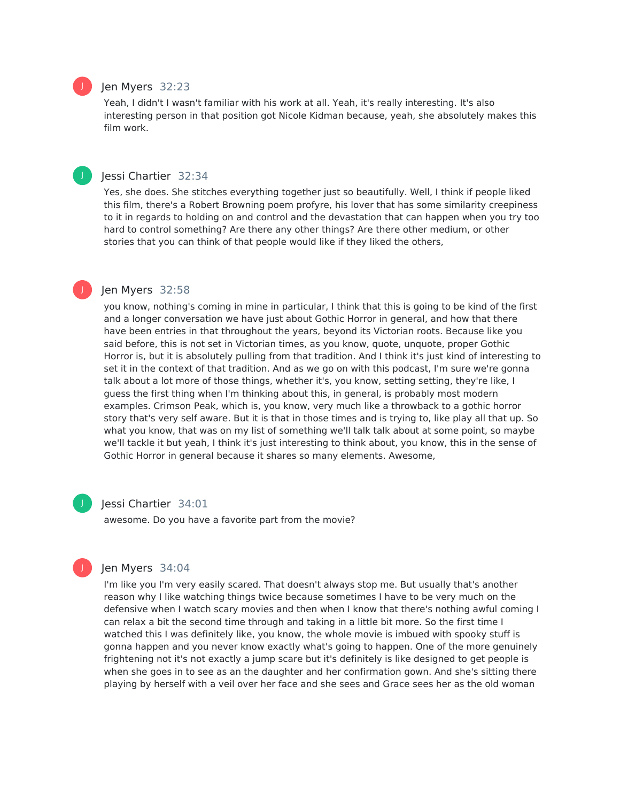# Jen Myers 32:23

J

J

J

Yeah, I didn't I wasn't familiar with his work at all. Yeah, it's really interesting. It's also interesting person in that position got Nicole Kidman because, yeah, she absolutely makes this film work.

# Jessi Chartier 32:34

Yes, she does. She stitches everything together just so beautifully. Well, I think if people liked this film, there's a Robert Browning poem profyre, his lover that has some similarity creepiness to it in regards to holding on and control and the devastation that can happen when you try too hard to control something? Are there any other things? Are there other medium, or other stories that you can think of that people would like if they liked the others,

# Jen Myers 32:58

you know, nothing's coming in mine in particular, I think that this is going to be kind of the first and a longer conversation we have just about Gothic Horror in general, and how that there have been entries in that throughout the years, beyond its Victorian roots. Because like you said before, this is not set in Victorian times, as you know, quote, unquote, proper Gothic Horror is, but it is absolutely pulling from that tradition. And I think it's just kind of interesting to set it in the context of that tradition. And as we go on with this podcast, I'm sure we're gonna talk about a lot more of those things, whether it's, you know, setting setting, they're like, I guess the first thing when I'm thinking about this, in general, is probably most modern examples. Crimson Peak, which is, you know, very much like a throwback to a gothic horror story that's very self aware. But it is that in those times and is trying to, like play all that up. So what you know, that was on my list of something we'll talk talk about at some point, so maybe we'll tackle it but yeah, I think it's just interesting to think about, you know, this in the sense of Gothic Horror in general because it shares so many elements. Awesome,

J

# Jessi Chartier 34:01

awesome. Do you have a favorite part from the movie?



# Jen Myers 34:04

I'm like you I'm very easily scared. That doesn't always stop me. But usually that's another reason why I like watching things twice because sometimes I have to be very much on the defensive when I watch scary movies and then when I know that there's nothing awful coming I can relax a bit the second time through and taking in a little bit more. So the first time I watched this I was definitely like, you know, the whole movie is imbued with spooky stuff is gonna happen and you never know exactly what's going to happen. One of the more genuinely frightening not it's not exactly a jump scare but it's definitely is like designed to get people is when she goes in to see as an the daughter and her confirmation gown. And she's sitting there playing by herself with a veil over her face and she sees and Grace sees her as the old woman